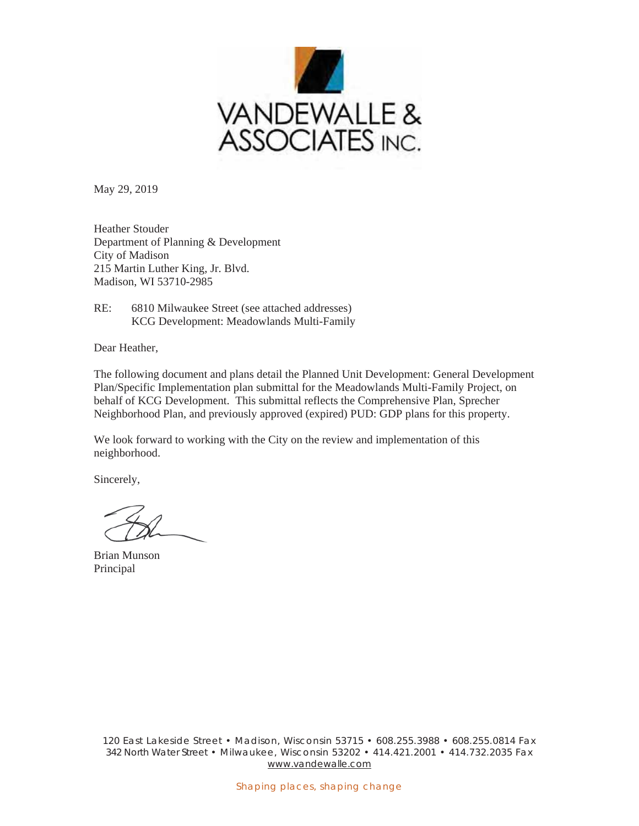

May 29, 2019

Heather Stouder Department of Planning & Development City of Madison 215 Martin Luther King, Jr. Blvd. Madison, WI 53710-2985

RE: 6810 Milwaukee Street (see attached addresses) KCG Development: Meadowlands Multi-Family

Dear Heather,

The following document and plans detail the Planned Unit Development: General Development Plan/Specific Implementation plan submittal for the Meadowlands Multi-Family Project, on behalf of KCG Development. This submittal reflects the Comprehensive Plan, Sprecher Neighborhood Plan, and previously approved (expired) PUD: GDP plans for this property.

We look forward to working with the City on the review and implementation of this neighborhood.

Sincerely,

Brian Munson Principal

120 East Lakeside Street • Madison, Wisconsin 53715 • 608.255.3988 • 608.255.0814 Fax 342 North Water Street • Milwaukee, Wisconsin 53202 • 414.421.2001 • 414.732.2035 Fax www.vandewalle.com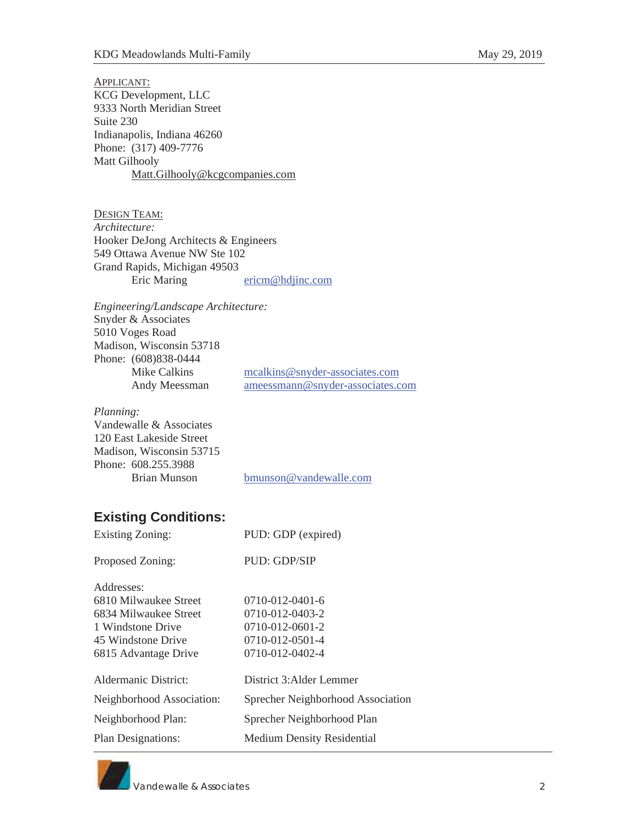## APPLICANT: KCG Development, LLC 9333 North Meridian Street Suite 230 Indianapolis, Indiana 46260 Phone: (317) 409-7776 Matt Gilhooly Matt.Gilhooly@kcgcompanies.com

| <b>DESIGN TEAM:</b>                  |                  |
|--------------------------------------|------------------|
| Architecture:                        |                  |
| Hooker DeJong Architects & Engineers |                  |
| 549 Ottawa Avenue NW Ste 102         |                  |
| Grand Rapids, Michigan 49503         |                  |
| Eric Maring                          | ericm@hdjinc.com |

*Engineering/Landscape Architecture:*  Snyder & Associates 5010 Voges Road Madison, Wisconsin 53718 Phone: (608)838-0444 Mike Calkins mcalkins@snyder-associates.com Andy Meessman ameessmann@snyder-associates.com

## *Planning:*

| Vandewalle & Associates  |                        |
|--------------------------|------------------------|
| 120 East Lakeside Street |                        |
| Madison. Wisconsin 53715 |                        |
| Phone: 608.255.3988      |                        |
| Brian Munson             | bmunson@vandewalle.com |
|                          |                        |

## **Existing Conditions:**

| <b>Existing Zoning:</b>   | PUD: GDP (expired)                |
|---------------------------|-----------------------------------|
| Proposed Zoning:          | PUD: GDP/SIP                      |
| Addresses:                |                                   |
| 6810 Milwaukee Street     | $0710 - 012 - 0401 - 6$           |
| 6834 Milwaukee Street     | $0710 - 012 - 0403 - 2$           |
| 1 Windstone Drive         | $0710 - 012 - 0601 - 2$           |
| 45 Windstone Drive        | 0710-012-0501-4                   |
| 6815 Advantage Drive      | 0710-012-0402-4                   |
| Aldermanic District:      | District 3: Alder Lemmer          |
| Neighborhood Association: | Sprecher Neighborhood Association |
| Neighborhood Plan:        | Sprecher Neighborhood Plan        |
| <b>Plan Designations:</b> | <b>Medium Density Residential</b> |
|                           |                                   |

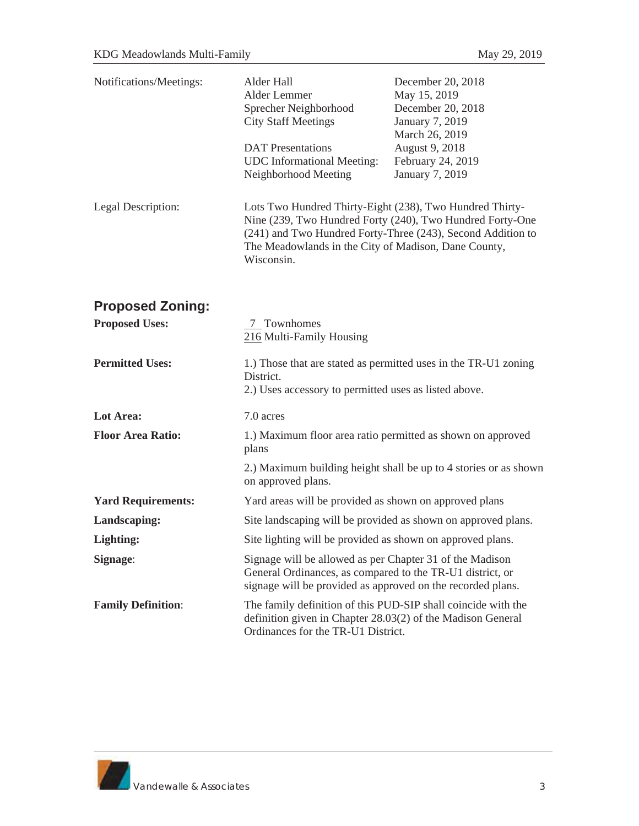| Notifications/Meetings:   | Alder Hall<br>Alder Lemmer<br>Sprecher Neighborhood<br><b>City Staff Meetings</b><br><b>DAT</b> Presentations<br><b>UDC</b> Informational Meeting:<br>Neighborhood Meeting                                                                                 | December 20, 2018<br>May 15, 2019<br>December 20, 2018<br>January 7, 2019<br>March 26, 2019<br>August 9, 2018<br>February 24, 2019<br>January 7, 2019 |
|---------------------------|------------------------------------------------------------------------------------------------------------------------------------------------------------------------------------------------------------------------------------------------------------|-------------------------------------------------------------------------------------------------------------------------------------------------------|
| Legal Description:        | Lots Two Hundred Thirty-Eight (238), Two Hundred Thirty-<br>Nine (239, Two Hundred Forty (240), Two Hundred Forty-One<br>(241) and Two Hundred Forty-Three (243), Second Addition to<br>The Meadowlands in the City of Madison, Dane County,<br>Wisconsin. |                                                                                                                                                       |
| <b>Proposed Zoning:</b>   |                                                                                                                                                                                                                                                            |                                                                                                                                                       |
| <b>Proposed Uses:</b>     | 7 Townhomes<br>216 Multi-Family Housing                                                                                                                                                                                                                    |                                                                                                                                                       |
| <b>Permitted Uses:</b>    | 1.) Those that are stated as permitted uses in the TR-U1 zoning<br>District.<br>2.) Uses accessory to permitted uses as listed above.                                                                                                                      |                                                                                                                                                       |
| Lot Area:                 | 7.0 acres                                                                                                                                                                                                                                                  |                                                                                                                                                       |
| <b>Floor Area Ratio:</b>  | 1.) Maximum floor area ratio permitted as shown on approved<br>plans                                                                                                                                                                                       |                                                                                                                                                       |
|                           | on approved plans.                                                                                                                                                                                                                                         | 2.) Maximum building height shall be up to 4 stories or as shown                                                                                      |
| <b>Yard Requirements:</b> | Yard areas will be provided as shown on approved plans                                                                                                                                                                                                     |                                                                                                                                                       |
| Landscaping:              | Site landscaping will be provided as shown on approved plans.                                                                                                                                                                                              |                                                                                                                                                       |
| Lighting:                 | Site lighting will be provided as shown on approved plans.                                                                                                                                                                                                 |                                                                                                                                                       |
| Signage:                  | Signage will be allowed as per Chapter 31 of the Madison<br>General Ordinances, as compared to the TR-U1 district, or<br>signage will be provided as approved on the recorded plans.                                                                       |                                                                                                                                                       |
| <b>Family Definition:</b> | The family definition of this PUD-SIP shall coincide with the<br>definition given in Chapter 28.03(2) of the Madison General<br>Ordinances for the TR-U1 District.                                                                                         |                                                                                                                                                       |

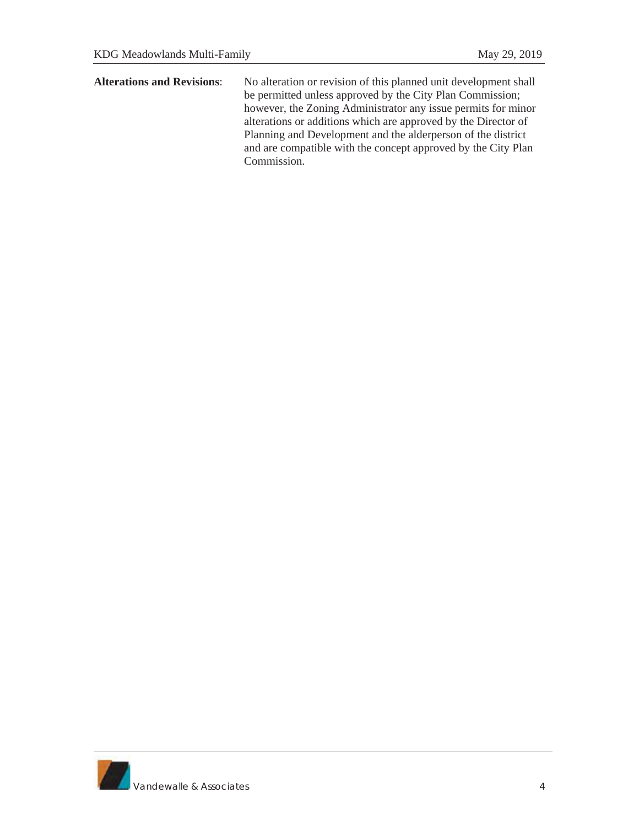**Alterations and Revisions**: No alteration or revision of this planned unit development shall be permitted unless approved by the City Plan Commission; however, the Zoning Administrator any issue permits for minor alterations or additions which are approved by the Director of Planning and Development and the alderperson of the district and are compatible with the concept approved by the City Plan Commission.